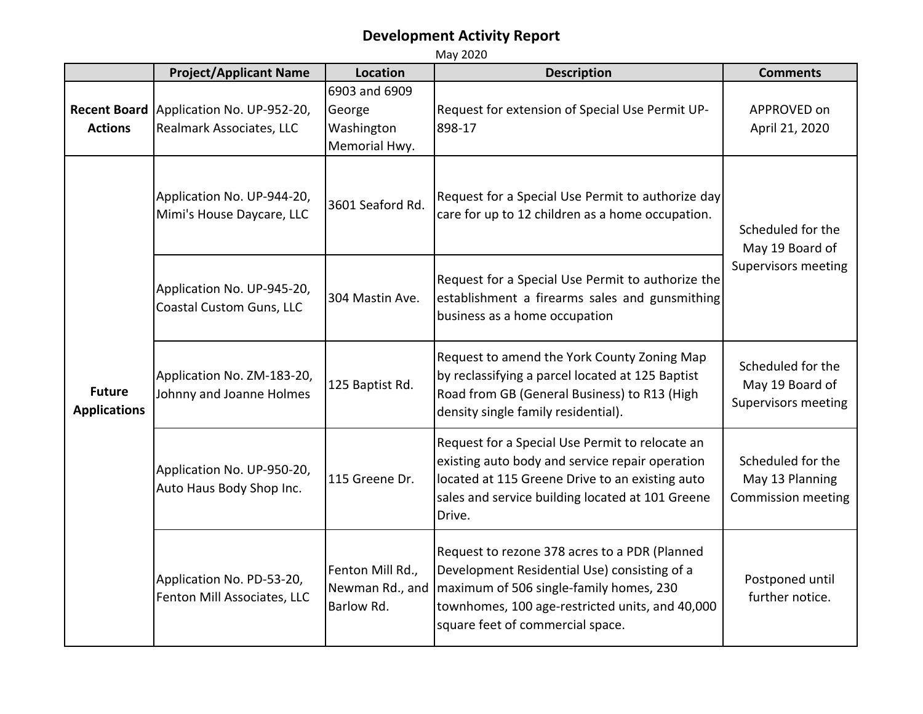|                                       | <b>Project/Applicant Name</b>                            | Location                                               | <b>Description</b>                                                                                                                                                                                                              | <b>Comments</b>                                                    |
|---------------------------------------|----------------------------------------------------------|--------------------------------------------------------|---------------------------------------------------------------------------------------------------------------------------------------------------------------------------------------------------------------------------------|--------------------------------------------------------------------|
| <b>Recent Board</b><br><b>Actions</b> | Application No. UP-952-20,<br>Realmark Associates, LLC   | 6903 and 6909<br>George<br>Washington<br>Memorial Hwy. | Request for extension of Special Use Permit UP-<br>898-17                                                                                                                                                                       | APPROVED on<br>April 21, 2020                                      |
| <b>Future</b><br><b>Applications</b>  | Application No. UP-944-20,<br>Mimi's House Daycare, LLC  | 3601 Seaford Rd.                                       | Request for a Special Use Permit to authorize day<br>care for up to 12 children as a home occupation.                                                                                                                           | Scheduled for the<br>May 19 Board of<br><b>Supervisors meeting</b> |
|                                       | Application No. UP-945-20,<br>Coastal Custom Guns, LLC   | 304 Mastin Ave.                                        | Request for a Special Use Permit to authorize the<br>establishment a firearms sales and gunsmithing<br>business as a home occupation                                                                                            |                                                                    |
|                                       | Application No. ZM-183-20,<br>Johnny and Joanne Holmes   | 125 Baptist Rd.                                        | Request to amend the York County Zoning Map<br>by reclassifying a parcel located at 125 Baptist<br>Road from GB (General Business) to R13 (High<br>density single family residential).                                          | Scheduled for the<br>May 19 Board of<br><b>Supervisors meeting</b> |
|                                       | Application No. UP-950-20,<br>Auto Haus Body Shop Inc.   | 115 Greene Dr.                                         | Request for a Special Use Permit to relocate an<br>existing auto body and service repair operation<br>located at 115 Greene Drive to an existing auto<br>sales and service building located at 101 Greene<br>Drive.             | Scheduled for the<br>May 13 Planning<br>Commission meeting         |
|                                       | Application No. PD-53-20,<br>Fenton Mill Associates, LLC | Fenton Mill Rd.,<br>Newman Rd., and<br>Barlow Rd.      | Request to rezone 378 acres to a PDR (Planned<br>Development Residential Use) consisting of a<br>maximum of 506 single-family homes, 230<br>townhomes, 100 age-restricted units, and 40,000<br>square feet of commercial space. | Postponed until<br>further notice.                                 |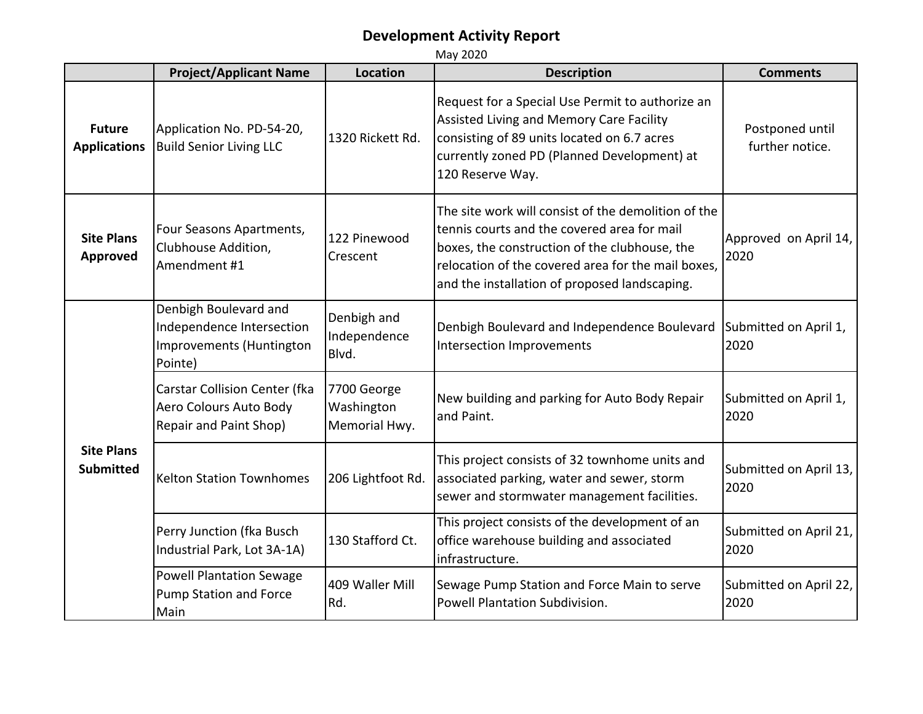|                                       | <b>Project/Applicant Name</b>                                                             | <b>Location</b>                            | <b>Description</b>                                                                                                                                                                                                                                         | <b>Comments</b>                    |
|---------------------------------------|-------------------------------------------------------------------------------------------|--------------------------------------------|------------------------------------------------------------------------------------------------------------------------------------------------------------------------------------------------------------------------------------------------------------|------------------------------------|
| <b>Future</b><br><b>Applications</b>  | Application No. PD-54-20,<br><b>Build Senior Living LLC</b>                               | 1320 Rickett Rd.                           | Request for a Special Use Permit to authorize an<br>Assisted Living and Memory Care Facility<br>consisting of 89 units located on 6.7 acres<br>currently zoned PD (Planned Development) at<br>120 Reserve Way.                                             | Postponed until<br>further notice. |
| <b>Site Plans</b><br><b>Approved</b>  | Four Seasons Apartments,<br>Clubhouse Addition,<br>Amendment #1                           | 122 Pinewood<br>Crescent                   | The site work will consist of the demolition of the<br>tennis courts and the covered area for mail<br>boxes, the construction of the clubhouse, the<br>relocation of the covered area for the mail boxes,<br>and the installation of proposed landscaping. | Approved on April 14,<br>2020      |
| <b>Site Plans</b><br><b>Submitted</b> | Denbigh Boulevard and<br>Independence Intersection<br>Improvements (Huntington<br>Pointe) | Denbigh and<br>Independence<br>Blvd.       | Denbigh Boulevard and Independence Boulevard<br>Intersection Improvements                                                                                                                                                                                  | Submitted on April 1,<br>2020      |
|                                       | Carstar Collision Center (fka<br>Aero Colours Auto Body<br>Repair and Paint Shop)         | 7700 George<br>Washington<br>Memorial Hwy. | New building and parking for Auto Body Repair<br>and Paint.                                                                                                                                                                                                | Submitted on April 1,<br>2020      |
|                                       | <b>Kelton Station Townhomes</b>                                                           | 206 Lightfoot Rd.                          | This project consists of 32 townhome units and<br>associated parking, water and sewer, storm<br>sewer and stormwater management facilities.                                                                                                                | Submitted on April 13,<br>2020     |
|                                       | Perry Junction (fka Busch<br>Industrial Park, Lot 3A-1A)                                  | 130 Stafford Ct.                           | This project consists of the development of an<br>office warehouse building and associated<br>infrastructure.                                                                                                                                              | Submitted on April 21,<br>2020     |
|                                       | <b>Powell Plantation Sewage</b><br><b>Pump Station and Force</b><br>Main                  | 409 Waller Mill<br>Rd.                     | Sewage Pump Station and Force Main to serve<br>Powell Plantation Subdivision.                                                                                                                                                                              | Submitted on April 22,<br>2020     |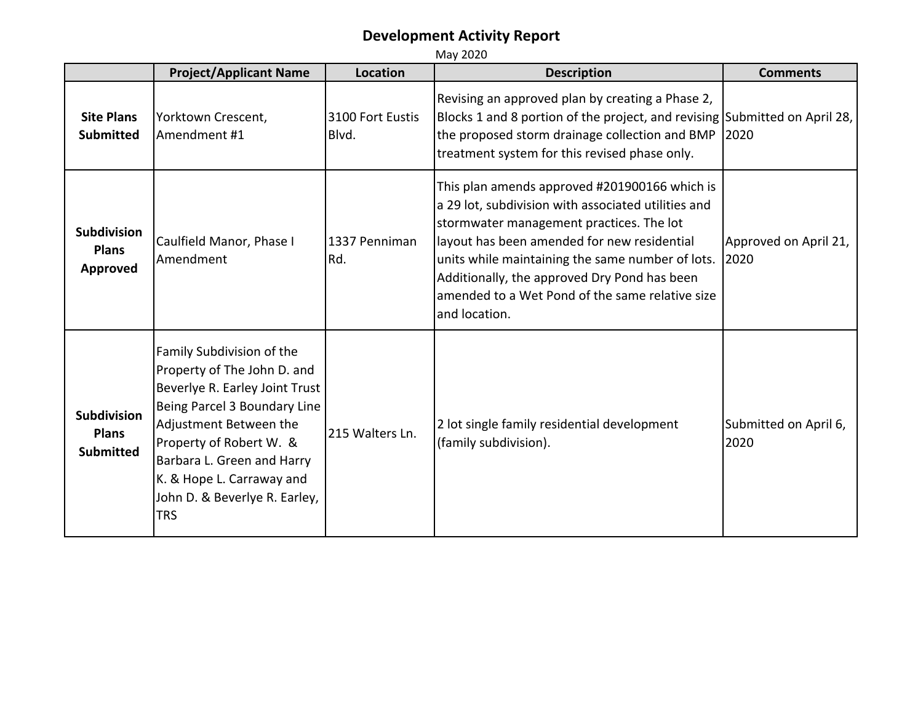|                                                        | <b>Project/Applicant Name</b>                                                                                                                                                                                                                                                             | <b>Location</b>           | <b>Description</b>                                                                                                                                                                                                                                                                                                                                                      | <b>Comments</b>               |
|--------------------------------------------------------|-------------------------------------------------------------------------------------------------------------------------------------------------------------------------------------------------------------------------------------------------------------------------------------------|---------------------------|-------------------------------------------------------------------------------------------------------------------------------------------------------------------------------------------------------------------------------------------------------------------------------------------------------------------------------------------------------------------------|-------------------------------|
| <b>Site Plans</b><br><b>Submitted</b>                  | Yorktown Crescent,<br>Amendment #1                                                                                                                                                                                                                                                        | 3100 Fort Eustis<br>Blvd. | Revising an approved plan by creating a Phase 2,<br>Blocks 1 and 8 portion of the project, and revising Submitted on April 28,<br>the proposed storm drainage collection and BMP 2020<br>treatment system for this revised phase only.                                                                                                                                  |                               |
| <b>Subdivision</b><br><b>Plans</b><br><b>Approved</b>  | Caulfield Manor, Phase I<br>Amendment                                                                                                                                                                                                                                                     | 1337 Penniman<br>Rd.      | This plan amends approved #201900166 which is<br>a 29 lot, subdivision with associated utilities and<br>stormwater management practices. The lot<br>layout has been amended for new residential<br>units while maintaining the same number of lots.<br>Additionally, the approved Dry Pond has been<br>amended to a Wet Pond of the same relative size<br>and location. | Approved on April 21,<br>2020 |
| <b>Subdivision</b><br><b>Plans</b><br><b>Submitted</b> | Family Subdivision of the<br>Property of The John D. and<br>Beverlye R. Earley Joint Trust<br>Being Parcel 3 Boundary Line<br>Adjustment Between the<br>Property of Robert W. &<br>Barbara L. Green and Harry<br>K. & Hope L. Carraway and<br>John D. & Beverlye R. Earley,<br><b>TRS</b> | 215 Walters Ln.           | 2 lot single family residential development<br>(family subdivision).                                                                                                                                                                                                                                                                                                    | Submitted on April 6,<br>2020 |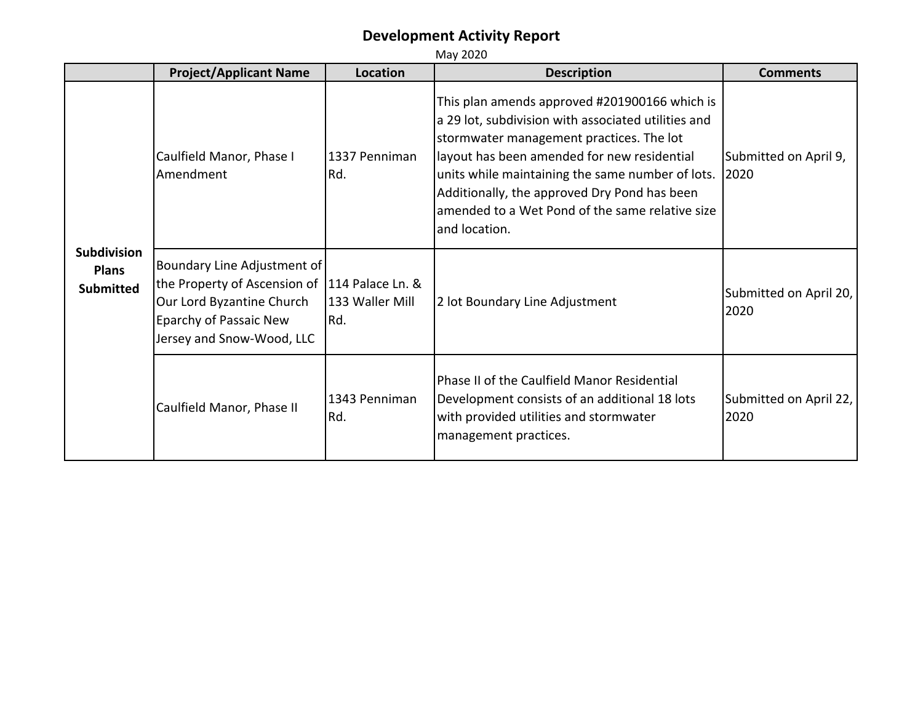|                                                        | <b>Project/Applicant Name</b>                                                                                                                                    | Location               | <b>Description</b>                                                                                                                                                                                                                                                                                                                                                      | <b>Comments</b>                |
|--------------------------------------------------------|------------------------------------------------------------------------------------------------------------------------------------------------------------------|------------------------|-------------------------------------------------------------------------------------------------------------------------------------------------------------------------------------------------------------------------------------------------------------------------------------------------------------------------------------------------------------------------|--------------------------------|
| <b>Subdivision</b><br><b>Plans</b><br><b>Submitted</b> | Caulfield Manor, Phase I<br>Amendment                                                                                                                            | 1337 Penniman<br>Rd.   | This plan amends approved #201900166 which is<br>a 29 lot, subdivision with associated utilities and<br>stormwater management practices. The lot<br>layout has been amended for new residential<br>units while maintaining the same number of lots.<br>Additionally, the approved Dry Pond has been<br>amended to a Wet Pond of the same relative size<br>and location. | Submitted on April 9,<br>2020  |
|                                                        | Boundary Line Adjustment of<br>the Property of Ascension of 114 Palace Ln. &<br>Our Lord Byzantine Church<br>Eparchy of Passaic New<br>Jersey and Snow-Wood, LLC | 133 Waller Mill<br>Rd. | 2 lot Boundary Line Adjustment                                                                                                                                                                                                                                                                                                                                          | Submitted on April 20,<br>2020 |
|                                                        | Caulfield Manor, Phase II                                                                                                                                        | 1343 Penniman<br>Rd.   | Phase II of the Caulfield Manor Residential<br>Development consists of an additional 18 lots<br>with provided utilities and stormwater<br>management practices.                                                                                                                                                                                                         | Submitted on April 22,<br>2020 |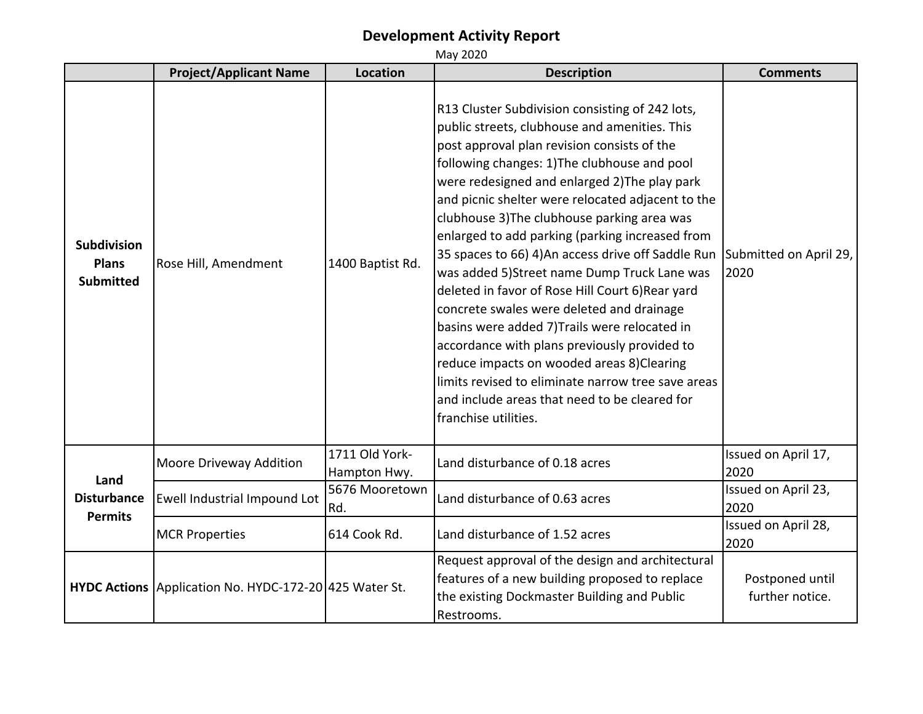|                                                        | <b>Project/Applicant Name</b>                          | <b>Location</b>                | <b>Description</b>                                                                                                                                                                                                                                                                                                                                                                                                                                                                                                                                                                                                                                                                                                                                                                                                                                                                          | <b>Comments</b>                    |
|--------------------------------------------------------|--------------------------------------------------------|--------------------------------|---------------------------------------------------------------------------------------------------------------------------------------------------------------------------------------------------------------------------------------------------------------------------------------------------------------------------------------------------------------------------------------------------------------------------------------------------------------------------------------------------------------------------------------------------------------------------------------------------------------------------------------------------------------------------------------------------------------------------------------------------------------------------------------------------------------------------------------------------------------------------------------------|------------------------------------|
| <b>Subdivision</b><br><b>Plans</b><br><b>Submitted</b> | Rose Hill, Amendment                                   | 1400 Baptist Rd.               | R13 Cluster Subdivision consisting of 242 lots,<br>public streets, clubhouse and amenities. This<br>post approval plan revision consists of the<br>following changes: 1) The clubhouse and pool<br>were redesigned and enlarged 2) The play park<br>and picnic shelter were relocated adjacent to the<br>clubhouse 3) The clubhouse parking area was<br>enlarged to add parking (parking increased from<br>35 spaces to 66) 4) An access drive off Saddle Run<br>was added 5) Street name Dump Truck Lane was<br>deleted in favor of Rose Hill Court 6) Rear yard<br>concrete swales were deleted and drainage<br>basins were added 7) Trails were relocated in<br>accordance with plans previously provided to<br>reduce impacts on wooded areas 8)Clearing<br>limits revised to eliminate narrow tree save areas<br>and include areas that need to be cleared for<br>franchise utilities. | Submitted on April 29,<br>2020     |
|                                                        | Moore Driveway Addition                                | 1711 Old York-<br>Hampton Hwy. | Land disturbance of 0.18 acres                                                                                                                                                                                                                                                                                                                                                                                                                                                                                                                                                                                                                                                                                                                                                                                                                                                              | Issued on April 17,<br>2020        |
| Land<br><b>Disturbance</b><br><b>Permits</b>           | Ewell Industrial Impound Lot                           | 5676 Mooretown<br>Rd.          | Land disturbance of 0.63 acres                                                                                                                                                                                                                                                                                                                                                                                                                                                                                                                                                                                                                                                                                                                                                                                                                                                              | Issued on April 23,<br>2020        |
|                                                        | <b>MCR Properties</b>                                  | 614 Cook Rd.                   | Land disturbance of 1.52 acres                                                                                                                                                                                                                                                                                                                                                                                                                                                                                                                                                                                                                                                                                                                                                                                                                                                              | Issued on April 28,<br>2020        |
|                                                        | HYDC Actions Application No. HYDC-172-20 425 Water St. |                                | Request approval of the design and architectural<br>features of a new building proposed to replace<br>the existing Dockmaster Building and Public<br>Restrooms.                                                                                                                                                                                                                                                                                                                                                                                                                                                                                                                                                                                                                                                                                                                             | Postponed until<br>further notice. |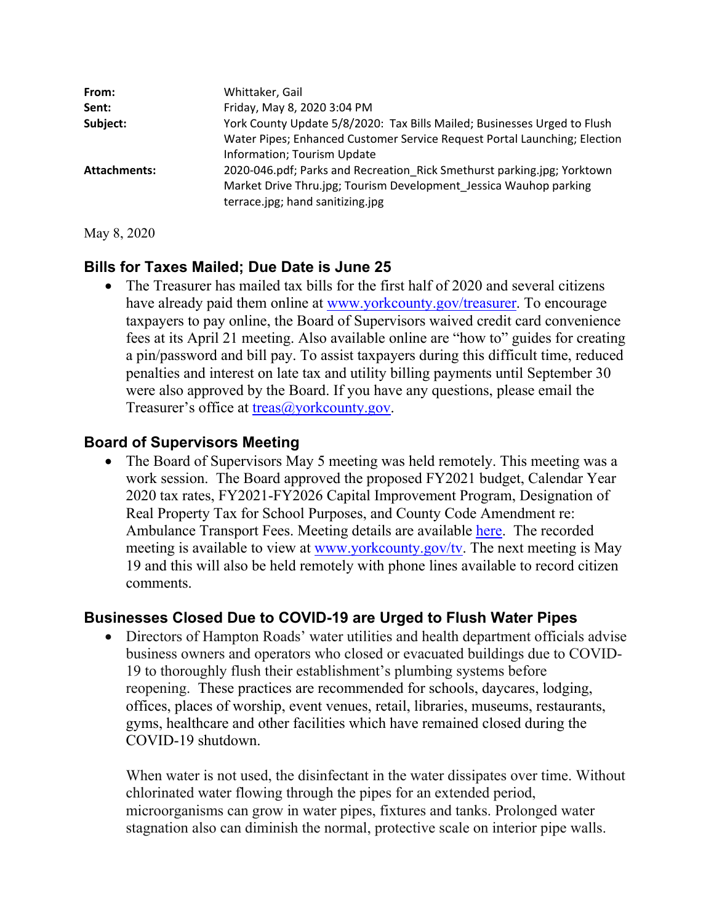| From:               | Whittaker, Gail                                                                                       |
|---------------------|-------------------------------------------------------------------------------------------------------|
| Sent:               | Friday, May 8, 2020 3:04 PM                                                                           |
| Subject:            | York County Update 5/8/2020: Tax Bills Mailed; Businesses Urged to Flush                              |
|                     | Water Pipes; Enhanced Customer Service Request Portal Launching; Election                             |
|                     | Information; Tourism Update                                                                           |
| <b>Attachments:</b> | 2020-046.pdf; Parks and Recreation Rick Smethurst parking.jpg; Yorktown                               |
|                     | Market Drive Thru.jpg; Tourism Development Jessica Wauhop parking<br>terrace.jpg; hand sanitizing.jpg |

May 8, 2020

### **Bills for Taxes Mailed; Due Date is June 25**

• The Treasurer has mailed tax bills for the first half of 2020 and several citizens have already paid them online at [www.yorkcounty.gov/treasurer.](www.yorkcounty.gov/treasurer) To encourage taxpayers to pay online, the Board of Supervisors waived credit card convenience fees at its April 21 meeting. Also available online are "how to" guides for creating a pin/password and bill pay. To assist taxpayers during this difficult time, reduced penalties and interest on late tax and utility billing payments until September 30 were also approved by the Board. If you have any questions, please email the Treasurer's office at [treas@yorkcounty.gov](mailto:treas@yorkcounty.gov).

### **Board of Supervisors Meeting**

• The Board of Supervisors May 5 meeting was held remotely. This meeting was a work session. The Board approved the proposed FY2021 budget, Calendar Year 2020 tax rates, FY2021-FY2026 Capital Improvement Program, Designation of Real Property Tax for School Purposes, and County Code Amendment re: Ambulance Transport Fees. Meeting details are available here. The recorded meeting is available to view at [www.yorkcounty.gov/tv.](www.yorkcounty.gov/tv) The next meeting is May 19 and this will also be held remotely with phone lines available to record citizen comments.

### **Businesses Closed Due to COVID-19 are Urged to Flush Water Pipes**

• Directors of Hampton Roads' water utilities and health department officials advise business owners and operators who closed or evacuated buildings due to COVID-19 to thoroughly flush their establishment's plumbing systems before reopening. These practices are recommended for schools, daycares, lodging, offices, places of worship, event venues, retail, libraries, museums, restaurants, gyms, healthcare and other facilities which have remained closed during the COVID-19 shutdown.

When water is not used, the disinfectant in the water dissipates over time. Without chlorinated water flowing through the pipes for an extended period, microorganisms can grow in water pipes, fixtures and tanks. Prolonged water stagnation also can diminish the normal, protective scale on interior pipe walls.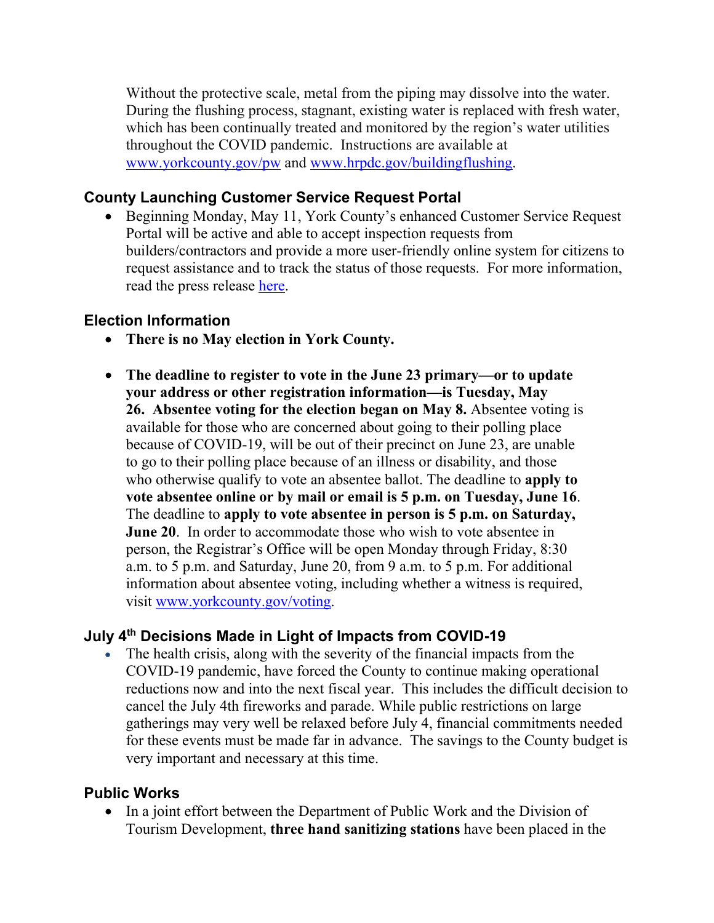Without the protective scale, metal from the piping may dissolve into the water. During the flushing process, stagnant, existing water is replaced with fresh water, which has been continually treated and monitored by the region's water utilities throughout the COVID pandemic. Instructions are available at <www.yorkcounty.gov/pw>and [www.hrpdc.gov/buildingflushing.](www.hrpdc.gov/buildingflushing)

### **County Launching Customer Service Request Portal**

 Beginning Monday, May 11, York County's enhanced Customer Service Request Portal will be active and able to accept inspection requests from builders/contractors and provide a more user-friendly online system for citizens to request assistance and to track the status of those requests. For more information, read the press release here.

#### **Election Information**

- **There is no May election in York County.**
- **The deadline to register to vote in the June 23 primary—or to update your address or other registration information—is Tuesday, May 26. Absentee voting for the election began on May 8.** Absentee voting is available for those who are concerned about going to their polling place because of COVID-19, will be out of their precinct on June 23, are unable to go to their polling place because of an illness or disability, and those who otherwise qualify to vote an absentee ballot. The deadline to **apply to vote absentee online or by mail or email is 5 p.m. on Tuesday, June 16**. The deadline to **apply to vote absentee in person is 5 p.m. on Saturday, June 20**. In order to accommodate those who wish to vote absentee in person, the Registrar's Office will be open Monday through Friday, 8:30 a.m. to 5 p.m. and Saturday, June 20, from 9 a.m. to 5 p.m. For additional information about absentee voting, including whether a witness is required, visit [www.yorkcounty.gov/voting.](www.yorkcounty.gov/voting)

### **July 4th Decisions Made in Light of Impacts from COVID-19**

 The health crisis, along with the severity of the financial impacts from the COVID-19 pandemic, have forced the County to continue making operational reductions now and into the next fiscal year. This includes the difficult decision to cancel the July 4th fireworks and parade. While public restrictions on large gatherings may very well be relaxed before July 4, financial commitments needed for these events must be made far in advance. The savings to the County budget is very important and necessary at this time.

### **Public Works**

• In a joint effort between the Department of Public Work and the Division of Tourism Development, **three hand sanitizing stations** have been placed in the